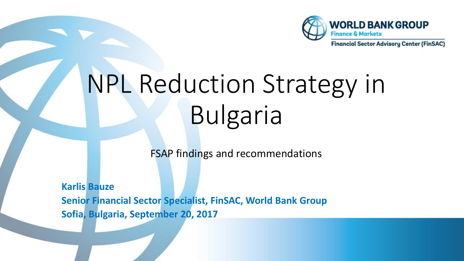

NPL Reduction Strategy in Bulgaria

FSAP findings and recommendations

**Karlis Bauze Senior Financial Sector Specialist, FinSAC, World Bank Group Sofia, Bulgaria, September 20, 2017**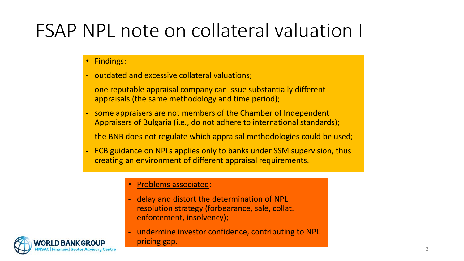# FSAP NPL note on collateral valuation I

## • Findings:

- outdated and excessive collateral valuations;
- one reputable appraisal company can issue substantially different appraisals (the same methodology and time period);
- some appraisers are not members of the Chamber of Independent Appraisers of Bulgaria (i.e., do not adhere to international standards);
- the BNB does not regulate which appraisal methodologies could be used;
- ECB guidance on NPLs applies only to banks under SSM supervision, thus creating an environment of different appraisal requirements.

### • Problems associated:

- delay and distort the determination of NPL resolution strategy (forbearance, sale, collat. enforcement, insolvency);
- undermine investor confidence, contributing to NPL pricing gap.

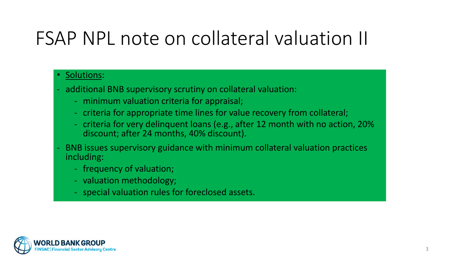# FSAP NPL note on collateral valuation II

## • Solutions:

- additional BNB supervisory scrutiny on collateral valuation:
	- minimum valuation criteria for appraisal;
	- criteria for appropriate time lines for value recovery from collateral;
	- criteria for very delinquent loans (e.g., after 12 month with no action, 20% discount; after 24 months, 40% discount).
- BNB issues supervisory guidance with minimum collateral valuation practices including:
	- frequency of valuation;
	- valuation methodology;
	- special valuation rules for foreclosed assets.

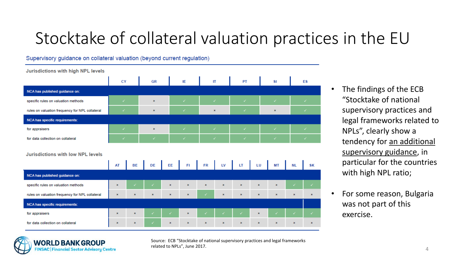## Stocktake of collateral valuation practices in the EU

Supervisory quidance on collateral valuation (beyond current regulation)

**Jurisdictions with high NPL levels CY GR** IE  $\Pi$ PT **SI** ES NCA has published quidance on: specific rules on valuation methods  $\mathbf{x}$ rules on valuation frequency for NPL collateral ×  $\mathbf{\hat{x}}$ **NCA has specific requirements:** for appraisers × for data collection on collateral **Jurisdictions with low NPL levels** LV **SK AT** EE NCA has published quidance on: specific rules on valuation methods rules on valuation frequency for NPL collateral **NCA has specific requirements:** for appraisers

- The findings of the ECB "Stocktake of national supervisory practices and legal frameworks related to NPLs", clearly show a tendency for an additional supervisory guidance, in particular for the countries with high NPL ratio;
- For some reason, Bulgaria was not part of this exercise.



for data collection on collateral

Source: ECB "Stocktake of national supervisory practices and legal frameworks related to NPLs", June 2017.

 $\pmb{\times}$ 

 $\pmb{\times}$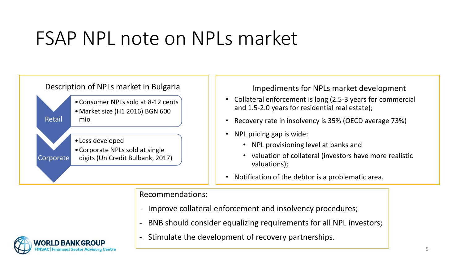# FSAP NPL note on NPLs market



Corporate •Less developed •Corporate NPLs sold at single digits (UniCredit Bulbank, 2017)

Description of NPLs market in Bulgaria Integral Impediments for NPLs market development

- Collateral enforcement is long (2.5-3 years for commercial and 1.5-2.0 years for residential real estate);
- Recovery rate in insolvency is 35% (OECD average 73%)
- NPL pricing gap is wide:
	- NPL provisioning level at banks and
	- valuation of collateral (investors have more realistic valuations);
- Notification of the debtor is a problematic area.

## Recommendations:

- Improve collateral enforcement and insolvency procedures;
- BNB should consider equalizing requirements for all NPL investors;



Retail

- Stimulate the development of recovery partnerships.